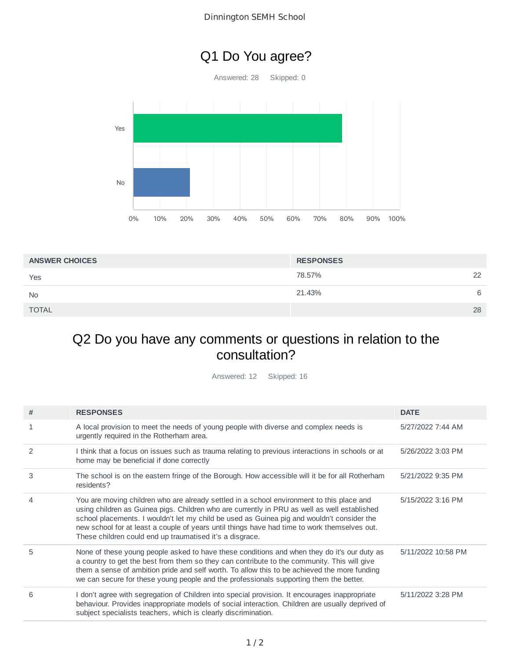## Q1 Do You agree?

Answered: 28 Skipped: 0



| <b>ANSWER CHOICES</b> | <b>RESPONSES</b> |    |
|-----------------------|------------------|----|
| Yes                   | 78.57%           | 22 |
| <b>No</b>             | 21.43%           | 6  |
| <b>TOTAL</b>          |                  | 28 |

## Q2 Do you have any comments or questions in relation to the consultation?

Answered: 12 Skipped: 16

| # | <b>RESPONSES</b>                                                                                                                                                                                                                                                                                                                                                                                                                                    | <b>DATE</b>        |
|---|-----------------------------------------------------------------------------------------------------------------------------------------------------------------------------------------------------------------------------------------------------------------------------------------------------------------------------------------------------------------------------------------------------------------------------------------------------|--------------------|
| 1 | A local provision to meet the needs of young people with diverse and complex needs is<br>urgently required in the Rotherham area.                                                                                                                                                                                                                                                                                                                   | 5/27/2022 7:44 AM  |
| 2 | I think that a focus on issues such as trauma relating to previous interactions in schools or at<br>home may be beneficial if done correctly                                                                                                                                                                                                                                                                                                        | 5/26/2022 3:03 PM  |
| 3 | The school is on the eastern fringe of the Borough. How accessible will it be for all Rotherham<br>residents?                                                                                                                                                                                                                                                                                                                                       | 5/21/2022 9:35 PM  |
| 4 | You are moving children who are already settled in a school environment to this place and<br>using children as Guinea pigs. Children who are currently in PRU as well as well established<br>school placements. I wouldn't let my child be used as Guinea pig and wouldn't consider the<br>new school for at least a couple of years until things have had time to work themselves out.<br>These children could end up traumatised it's a disgrace. | 5/15/2022 3:16 PM  |
| 5 | None of these young people asked to have these conditions and when they do it's our duty as<br>a country to get the best from them so they can contribute to the community. This will give<br>them a sense of ambition pride and self worth. To allow this to be achieved the more funding<br>we can secure for these young people and the professionals supporting them the better.                                                                | 5/11/2022 10:58 PM |
| 6 | I don't agree with segregation of Children into special provision. It encourages inappropriate<br>behaviour. Provides inappropriate models of social interaction. Children are usually deprived of<br>subject specialists teachers, which is clearly discrimination.                                                                                                                                                                                | 5/11/2022 3:28 PM  |